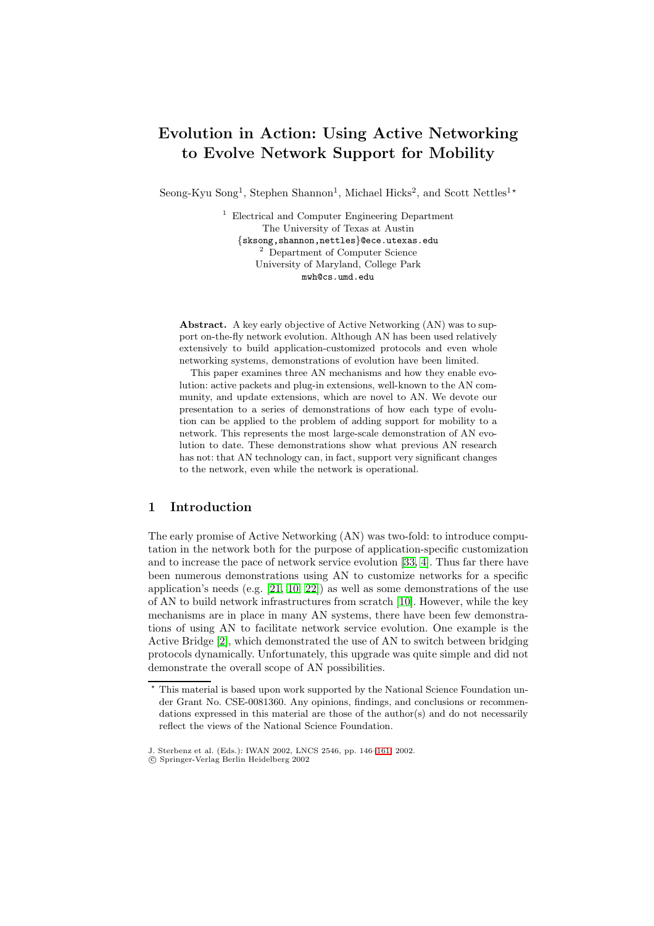# **Evolution in Action: Using Active Networking to Evolve Network Support for Mobility**

Seong-Kyu Song<sup>1</sup>, Stephen Shannon<sup>1</sup>, Michael Hicks<sup>2</sup>, and Scott Nettles<sup>1\*</sup>

<sup>1</sup> Electrical and Computer Engineering Department The University of Texas at Austin *{*sksong,shannon,nettles*}*@ece.utexas.edu <sup>2</sup> Department of Computer Science University of Maryland, College Park mwh@cs.umd.edu

**Abstract.** A key early objective of Active Networking (AN) was to support on-the-fly network evolution. Although AN has been used relatively extensively to build application-customized protocols and even whole networking systems, demonstrations of evolution have been limited.

This paper examines three AN mechanisms and how they enable evolution: active packets and plug-in extensions, well-known to the AN community, and update extensions, which are novel to AN. We devote our presentation to a series of demonstrations of how each type of evolution can be applied to the problem of adding support for mobility to a network. This represents the most large-scale demonstration of AN evolution to date. These demonstrations show what previous AN research has not: that AN technology can, in fact, support very significant changes to the network, even while the network is operational.

### **1 Introduction**

The early promise of Active Networking  $(AN)$  was two-fold: to introduce computation in the network both for the purpose of application-specific customization and to increase the pace of network service evolution [\[33,](#page-15-0) [4\]](#page-14-0). Thus far there have been numerous demonstrations using AN to customize networks for a specific application's needs (e.g.  $[21, 10, 22]$  $[21, 10, 22]$  $[21, 10, 22]$ ) as well as some demonstrations of the use of AN to build network infrastructures from scratch [\[10\]](#page-14-1). However, while the key mechanisms are in place in many AN systems, there have been few demonstrations of using AN to facilitate network service evolution. One example is the Active Bridge [\[2\]](#page-14-2), which demonstrated the use of AN to switch between bridging protocols dynamically. Unfortunately, this upgrade was quite simple and did not demonstrate the overall scope of AN possibilities.

 $^{\star}$  This material is based upon work supported by the National Science Foundation under Grant No. CSE-0081360. Any opinions, findings, and conclusions or recommendations expressed in this material are those of the author(s) and do not necessarily reflect the views of the National Science Foundation.

J. Sterbenz et al. (Eds.): IWAN 2002, LNCS 2546, pp. 146[–161,](#page-15-3) 2002.

c Springer-Verlag Berlin Heidelberg 2002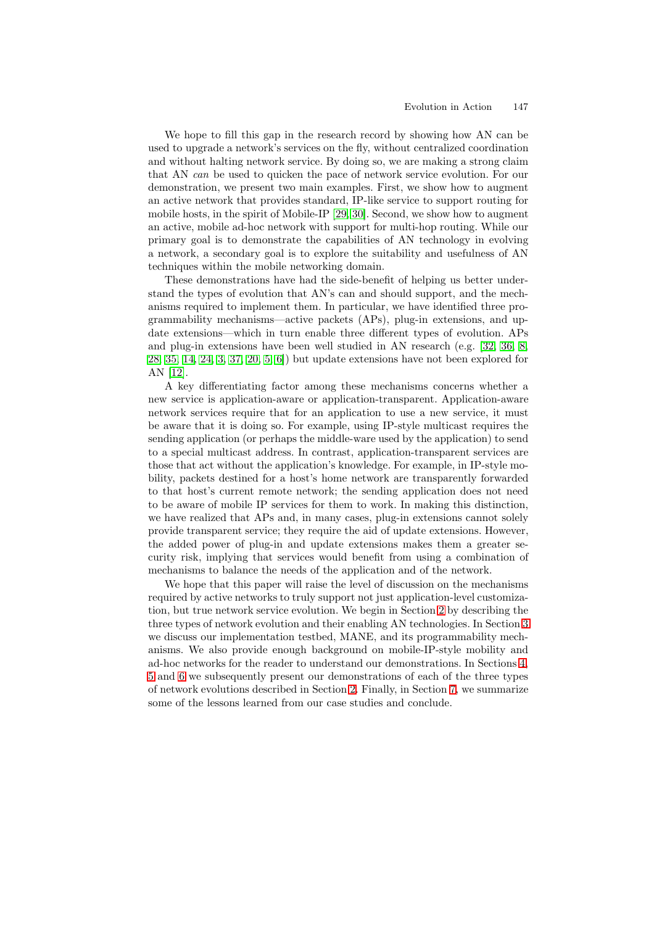We hope to fill this gap in the research record by showing how AN can be used to upgrade a network's services on the fly, without centralized coordination and without halting network service. By doing so, we are making a strong claim that AN *can* be used to quicken the pace of network service evolution. For our demonstration, we present two main examples. First, we show how to augment an active network that provides standard, IP-like service to support routing for mobile hosts, in the spirit of Mobile-IP [\[29,](#page-15-4) [30\]](#page-15-5). Second, we show how to augment an active, mobile ad-hoc network with support for multi-hop routing. While our primary goal is to demonstrate the capabilities of AN technology in evolving a network, a secondary goal is to explore the suitability and usefulness of AN techniques within the mobile networking domain.

These demonstrations have had the side-benefit of helping us better understand the types of evolution that AN's can and should support, and the mechanisms required to implement them. In particular, we have identified three programmability mechanisms—active packets (APs), plug-in extensions, and update extensions—which in turn enable three different types of evolution. APs and plug-in extensions have been well studied in AN research (e.g. [\[32,](#page-15-6) [36,](#page-15-7) [8,](#page-14-3)  $28, 35, 14, 24, 3, 37, 20, 5, 6$  $28, 35, 14, 24, 3, 37, 20, 5, 6$  $28, 35, 14, 24, 3, 37, 20, 5, 6$  $28, 35, 14, 24, 3, 37, 20, 5, 6$  $28, 35, 14, 24, 3, 37, 20, 5, 6$  $28, 35, 14, 24, 3, 37, 20, 5, 6$  $28, 35, 14, 24, 3, 37, 20, 5, 6$  $28, 35, 14, 24, 3, 37, 20, 5, 6$  $28, 35, 14, 24, 3, 37, 20, 5, 6$ ) but update extensions have not been explored for AN [\[12\]](#page-14-8).

A key differentiating factor among these mechanisms concerns whether a new service is application-aware or application-transparent. Application-aware network services require that for an application to use a new service, it must be aware that it is doing so. For example, using IP-style multicast requires the sending application (or perhaps the middle-ware used by the application) to send to a special multicast address. In contrast, application-transparent services are those that act without the application's knowledge. For example, in IP-style mobility, packets destined for a host's home network are transparently forwarded to that host's current remote network; the sending application does not need to be aware of mobile IP services for them to work. In making this distinction, we have realized that APs and, in many cases, plug-in extensions cannot solely provide transparent service; they require the aid of update extensions. However, the added power of plug-in and update extensions makes them a greater security risk, implying that services would benefit from using a combination of mechanisms to balance the needs of the application and of the network.

<span id="page-1-0"></span>We hope that this paper will raise the level of discussion on the mechanisms required by active networks to truly support not just application-level customization, but true network service evolution. We begin in Section [2](#page-1-0) by describing the three types of network evolution and their enabling AN technologies. In Section [3](#page-4-0) we discuss our implementation testbed, MANE, and its programmability mechanisms. We also provide enough background on mobile-IP-style mobility and ad-hoc networks for the reader to understand our demonstrations. In Sections [4,](#page-7-0) [5](#page-8-0) and [6](#page-10-0) we subsequently present our demonstrations of each of the three types of network evolutions described in Section [2.](#page-1-0) Finally, in Section [7,](#page-12-0) we summarize some of the lessons learned from our case studies and conclude.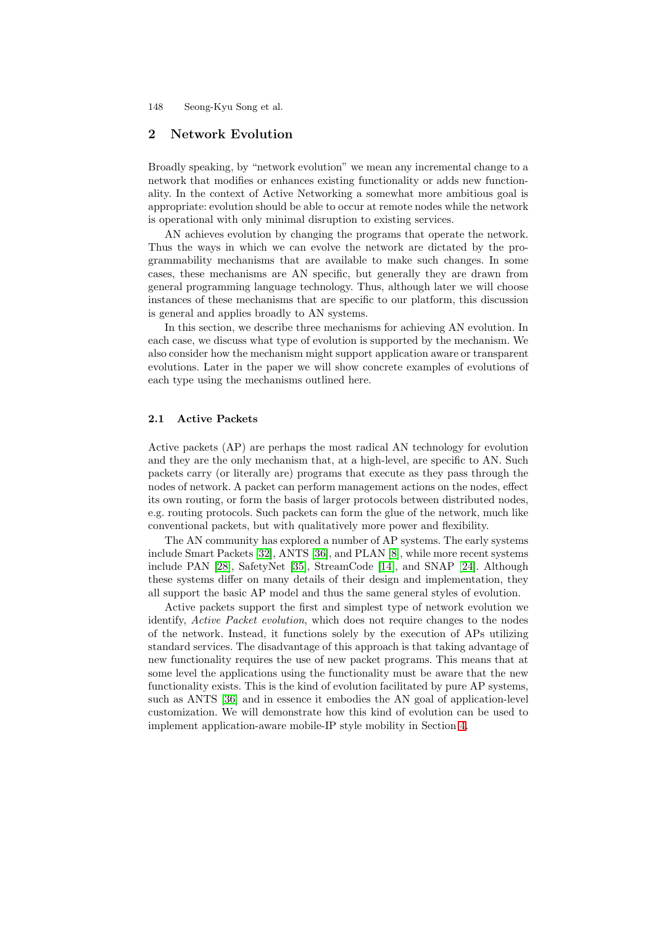### **2 Network Evolution**

Broadly speaking, by "network evolution" we mean any incremental change to a network that modifies or enhances existing functionality or adds new functionality. In the context of Active Networking a somewhat more ambitious goal is appropriate: evolution should be able to occur at remote nodes while the network is operational with only minimal disruption to existing services.

AN achieves evolution by changing the programs that operate the network. Thus the ways in which we can evolve the network are dictated by the programmability mechanisms that are available to make such changes. In some cases, these mechanisms are AN specific, but generally they are drawn from general programming language technology. Thus, although later we will choose instances of these mechanisms that are specific to our platform, this discussion is general and applies broadly to AN systems.

In this section, we describe three mechanisms for achieving AN evolution. In each case, we discuss what type of evolution is supported by the mechanism. We also consider how the mechanism might support application aware or transparent evolutions. Later in the paper we will show concrete examples of evolutions of each type using the mechanisms outlined here.

#### **2.1 Active Packets**

Active packets (AP) are perhaps the most radical AN technology for evolution and they are the only mechanism that, at a high-level, are specific to AN. Such packets carry (or literally are) programs that execute as they pass through the nodes of network. A packet can perform management actions on the nodes, effect its own routing, or form the basis of larger protocols between distributed nodes, e.g. routing protocols. Such packets can form the glue of the network, much like conventional packets, but with qualitatively more power and flexibility.

The AN community has explored a number of AP systems. The early systems include Smart Packets [\[32\]](#page-15-6), ANTS [\[36\]](#page-15-7), and PLAN [\[8\]](#page-14-3), while more recent systems include PAN [\[28\]](#page-15-8), SafetyNet [\[35\]](#page-15-9), StreamCode [\[14\]](#page-14-4), and SNAP [\[24\]](#page-15-10). Although these systems differ on many details of their design and implementation, they all support the basic AP model and thus the same general styles of evolution.

Active packets support the first and simplest type of network evolution we identify, *Active Packet evolution*, which does not require changes to the nodes of the network. Instead, it functions solely by the execution of APs utilizing standard services. The disadvantage of this approach is that taking advantage of new functionality requires the use of new packet programs. This means that at some level the applications using the functionality must be aware that the new functionality exists. This is the kind of evolution facilitated by pure AP systems, such as ANTS [\[36\]](#page-15-7) and in essence it embodies the AN goal of application-level customization. We will demonstrate how this kind of evolution can be used to implement application-aware mobile-IP style mobility in Section [4.](#page-7-0)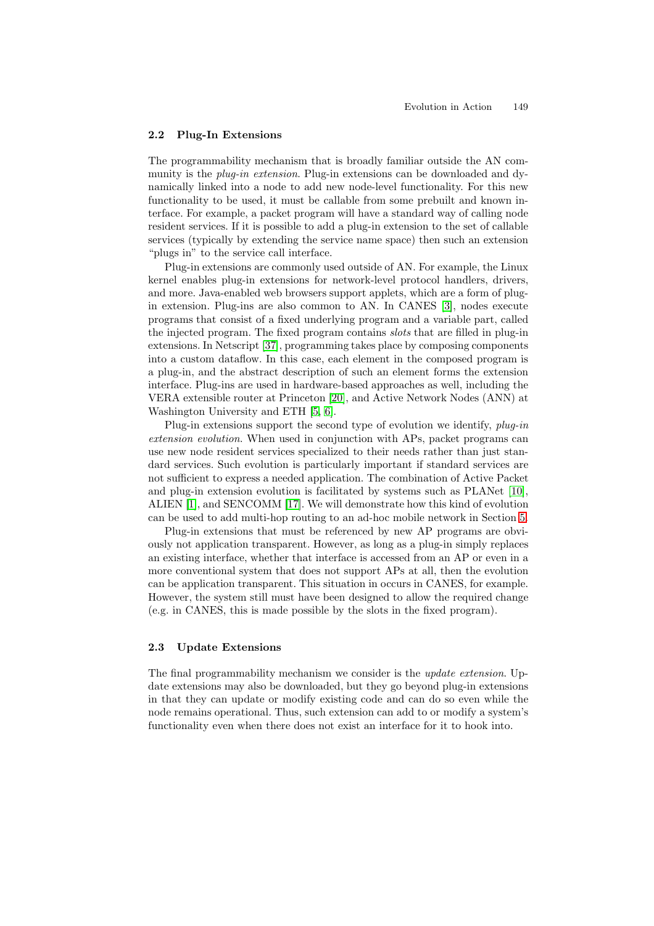#### **2.2 Plug-In Extensions**

The programmability mechanism that is broadly familiar outside the AN community is the *plug-in extension*. Plug-in extensions can be downloaded and dynamically linked into a node to add new node-level functionality. For this new functionality to be used, it must be callable from some prebuilt and known interface. For example, a packet program will have a standard way of calling node resident services. If it is possible to add a plug-in extension to the set of callable services (typically by extending the service name space) then such an extension "plugs in" to the service call interface.

Plug-in extensions are commonly used outside of AN. For example, the Linux kernel enables plug-in extensions for network-level protocol handlers, drivers, and more. Java-enabled web browsers support applets, which are a form of plugin extension. Plug-ins are also common to AN. In CANES [\[3\]](#page-14-5), nodes execute programs that consist of a fixed underlying program and a variable part, called the injected program. The fixed program contains *slots* that are filled in plug-in extensions. In Netscript [\[37\]](#page-15-11), programming takes place by composing components into a custom dataflow. In this case, each element in the composed program is a plug-in, and the abstract description of such an element forms the extension interface. Plug-ins are used in hardware-based approaches as well, including the VERA extensible router at Princeton [\[20\]](#page-15-12), and Active Network Nodes (ANN) at Washington University and ETH [\[5,](#page-14-6) [6\]](#page-14-7).

Plug-in extensions support the second type of evolution we identify, *plug-in extension evolution*. When used in conjunction with APs, packet programs can use new node resident services specialized to their needs rather than just standard services. Such evolution is particularly important if standard services are not sufficient to express a needed application. The combination of Active Packet and plug-in extension evolution is facilitated by systems such as PLANet [\[10\]](#page-14-1), ALIEN [\[1\]](#page-14-9), and SENCOMM [\[17\]](#page-14-10). We will demonstrate how this kind of evolution can be used to add multi-hop routing to an ad-hoc mobile network in Section [5.](#page-8-0)

Plug-in extensions that must be referenced by new AP programs are obviously not application transparent. However, as long as a plug-in simply replaces an existing interface, whether that interface is accessed from an AP or even in a more conventional system that does not support APs at all, then the evolution can be application transparent. This situation in occurs in CANES, for example. However, the system still must have been designed to allow the required change (e.g. in CANES, this is made possible by the slots in the fixed program).

#### **2.3 Update Extensions**

The final programmability mechanism we consider is the *update extension*. Update extensions may also be downloaded, but they go beyond plug-in extensions in that they can update or modify existing code and can do so even while the node remains operational. Thus, such extension can add to or modify a system's functionality even when there does not exist an interface for it to hook into.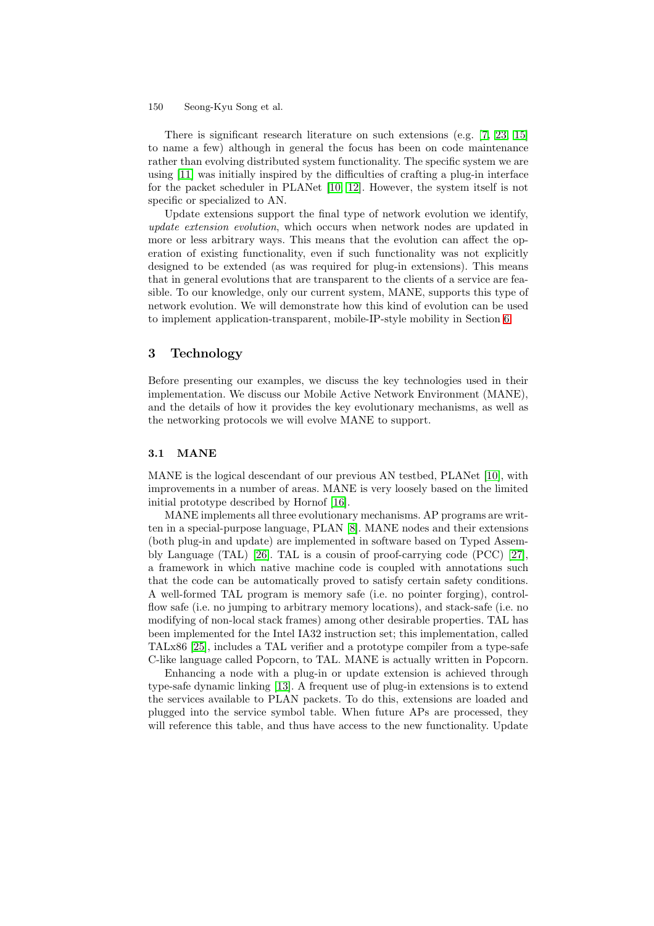There is significant research literature on such extensions (e.g. [\[7,](#page-14-11) [23,](#page-15-13) [15\]](#page-14-12) to name a few) although in general the focus has been on code maintenance rather than evolving distributed system functionality. The specific system we are using [\[11\]](#page-14-13) was initially inspired by the difficulties of crafting a plug-in interface for the packet scheduler in PLANet [\[10,](#page-14-1) [12\]](#page-14-8). However, the system itself is not specific or specialized to AN.

Update extensions support the final type of network evolution we identify, *update extension evolution*, which occurs when network nodes are updated in more or less arbitrary ways. This means that the evolution can affect the operation of existing functionality, even if such functionality was not explicitly designed to be extended (as was required for plug-in extensions). This means that in general evolutions that are transparent to the clients of a service are feasible. To our knowledge, only our current system, MANE, supports this type of network evolution. We will demonstrate how this kind of evolution can be used to implement application-transparent, mobile-IP-style mobility in Section [6.](#page-10-0)

## <span id="page-4-0"></span>**3 Technology**

Before presenting our examples, we discuss the key technologies used in their implementation. We discuss our Mobile Active Network Environment (MANE), and the details of how it provides the key evolutionary mechanisms, as well as the networking protocols we will evolve MANE to support.

### **3.1 MANE**

MANE is the logical descendant of our previous AN testbed, PLANet [\[10\]](#page-14-1), with improvements in a number of areas. MANE is very loosely based on the limited initial prototype described by Hornof [\[16\]](#page-14-14).

MANE implements all three evolutionary mechanisms. AP programs are written in a special-purpose language, PLAN [\[8\]](#page-14-3). MANE nodes and their extensions (both plug-in and update) are implemented in software based on Typed Assem-bly Language (TAL) [\[26\]](#page-15-14). TAL is a cousin of proof-carrying code (PCC) [\[27\]](#page-15-15), a framework in which native machine code is coupled with annotations such that the code can be automatically proved to satisfy certain safety conditions. A well-formed TAL program is memory safe (i.e. no pointer forging), controlflow safe (i.e. no jumping to arbitrary memory locations), and stack-safe (i.e. no modifying of non-local stack frames) among other desirable properties. TAL has been implemented for the Intel IA32 instruction set; this implementation, called TALx86 [\[25\]](#page-15-16), includes a TAL verifier and a prototype compiler from a type-safe C-like language called Popcorn, to TAL. MANE is actually written in Popcorn.

Enhancing a node with a plug-in or update extension is achieved through type-safe dynamic linking [\[13\]](#page-14-15). A frequent use of plug-in extensions is to extend the services available to PLAN packets. To do this, extensions are loaded and plugged into the service symbol table. When future APs are processed, they will reference this table, and thus have access to the new functionality. Update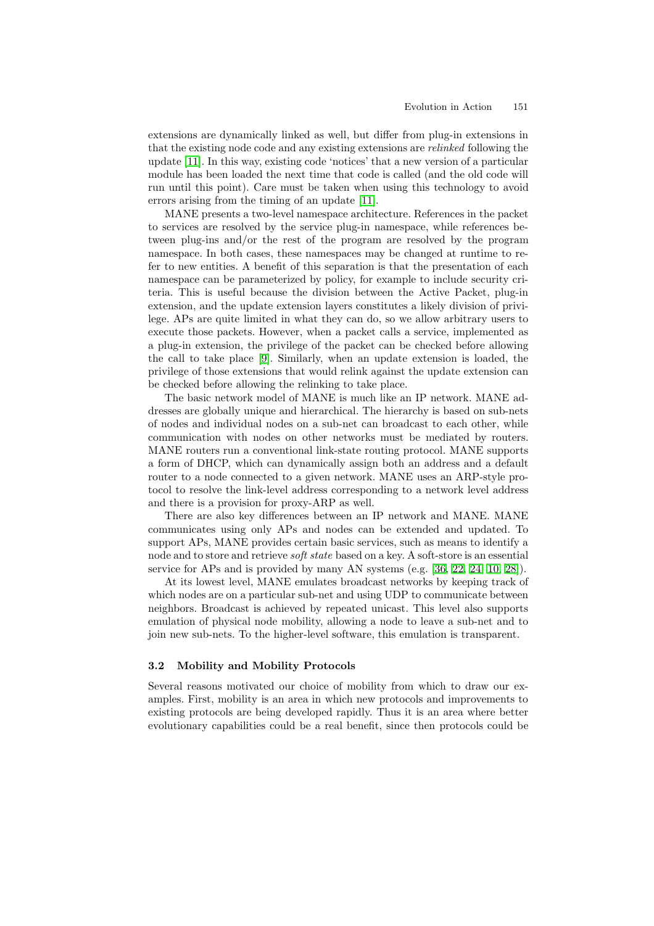extensions are dynamically linked as well, but differ from plug-in extensions in that the existing node code and any existing extensions are *relinked* following the update [\[11\]](#page-14-13). In this way, existing code 'notices' that a new version of a particular module has been loaded the next time that code is called (and the old code will run until this point). Care must be taken when using this technology to avoid errors arising from the timing of an update [\[11\]](#page-14-13).

MANE presents a two-level namespace architecture. References in the packet to services are resolved by the service plug-in namespace, while references between plug-ins and/or the rest of the program are resolved by the program namespace. In both cases, these namespaces may be changed at runtime to refer to new entities. A benefit of this separation is that the presentation of each namespace can be parameterized by policy, for example to include security criteria. This is useful because the division between the Active Packet, plug-in extension, and the update extension layers constitutes a likely division of privilege. APs are quite limited in what they can do, so we allow arbitrary users to execute those packets. However, when a packet calls a service, implemented as a plug-in extension, the privilege of the packet can be checked before allowing the call to take place [\[9\]](#page-14-16). Similarly, when an update extension is loaded, the privilege of those extensions that would relink against the update extension can be checked before allowing the relinking to take place.

The basic network model of MANE is much like an IP network. MANE addresses are globally unique and hierarchical. The hierarchy is based on sub-nets of nodes and individual nodes on a sub-net can broadcast to each other, while communication with nodes on other networks must be mediated by routers. MANE routers run a conventional link-state routing protocol. MANE supports a form of DHCP, which can dynamically assign both an address and a default router to a node connected to a given network. MANE uses an ARP-style protocol to resolve the link-level address corresponding to a network level address and there is a provision for proxy-ARP as well.

There are also key differences between an IP network and MANE. MANE communicates using only APs and nodes can be extended and updated. To support APs, MANE provides certain basic services, such as means to identify a node and to store and retrieve *soft state* based on a key. A soft-store is an essential service for APs and is provided by many AN systems (e.g. [\[36,](#page-15-7) [22,](#page-15-2) [24,](#page-15-10) [10,](#page-14-1) [28\]](#page-15-8)).

At its lowest level, MANE emulates broadcast networks by keeping track of which nodes are on a particular sub-net and using UDP to communicate between neighbors. Broadcast is achieved by repeated unicast. This level also supports emulation of physical node mobility, allowing a node to leave a sub-net and to join new sub-nets. To the higher-level software, this emulation is transparent.

#### **3.2 Mobility and Mobility Protocols**

Several reasons motivated our choice of mobility from which to draw our examples. First, mobility is an area in which new protocols and improvements to existing protocols are being developed rapidly. Thus it is an area where better evolutionary capabilities could be a real benefit, since then protocols could be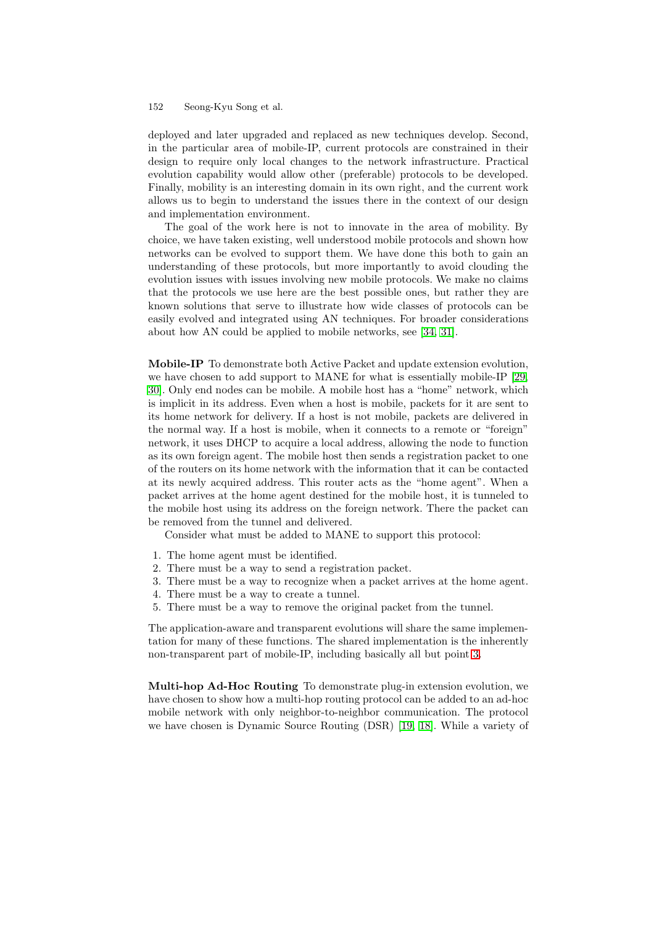deployed and later upgraded and replaced as new techniques develop. Second, in the particular area of mobile-IP, current protocols are constrained in their design to require only local changes to the network infrastructure. Practical evolution capability would allow other (preferable) protocols to be developed. Finally, mobility is an interesting domain in its own right, and the current work allows us to begin to understand the issues there in the context of our design and implementation environment.

The goal of the work here is not to innovate in the area of mobility. By choice, we have taken existing, well understood mobile protocols and shown how networks can be evolved to support them. We have done this both to gain an understanding of these protocols, but more importantly to avoid clouding the evolution issues with issues involving new mobile protocols. We make no claims that the protocols we use here are the best possible ones, but rather they are known solutions that serve to illustrate how wide classes of protocols can be easily evolved and integrated using AN techniques. For broader considerations about how AN could be applied to mobile networks, see [\[34,](#page-15-17) [31\]](#page-15-18).

**Mobile-IP** To demonstrate both Active Packet and update extension evolution, we have chosen to add support to MANE for what is essentially mobile-IP [\[29,](#page-15-4) [30\]](#page-15-5). Only end nodes can be mobile. A mobile host has a "home" network, which is implicit in its address. Even when a host is mobile, packets for it are sent to its home network for delivery. If a host is not mobile, packets are delivered in the normal way. If a host is mobile, when it connects to a remote or "foreign" network, it uses DHCP to acquire a local address, allowing the node to function as its own foreign agent. The mobile host then sends a registration packet to one of the routers on its home network with the information that it can be contacted at its newly acquired address. This router acts as the "home agent". When a packet arrives at the home agent destined for the mobile host, it is tunneled to the mobile host using its address on the foreign network. There the packet can be removed from the tunnel and delivered.

Consider what must be added to MANE to support this protocol:

- 1. The home agent must be identified.
- <span id="page-6-0"></span>2. There must be a way to send a registration packet.
- 3. There must be a way to recognize when a packet arrives at the home agent.
- 4. There must be a way to create a tunnel.
- 5. There must be a way to remove the original packet from the tunnel.

The application-aware and transparent evolutions will share the same implementation for many of these functions. The shared implementation is the inherently non-transparent part of mobile-IP, including basically all but point [3.](#page-6-0)

**Multi-hop Ad-Hoc Routing** To demonstrate plug-in extension evolution, we have chosen to show how a multi-hop routing protocol can be added to an ad-hoc mobile network with only neighbor-to-neighbor communication. The protocol we have chosen is Dynamic Source Routing (DSR)[\[19,](#page-15-19) [18\]](#page-15-20). While a variety of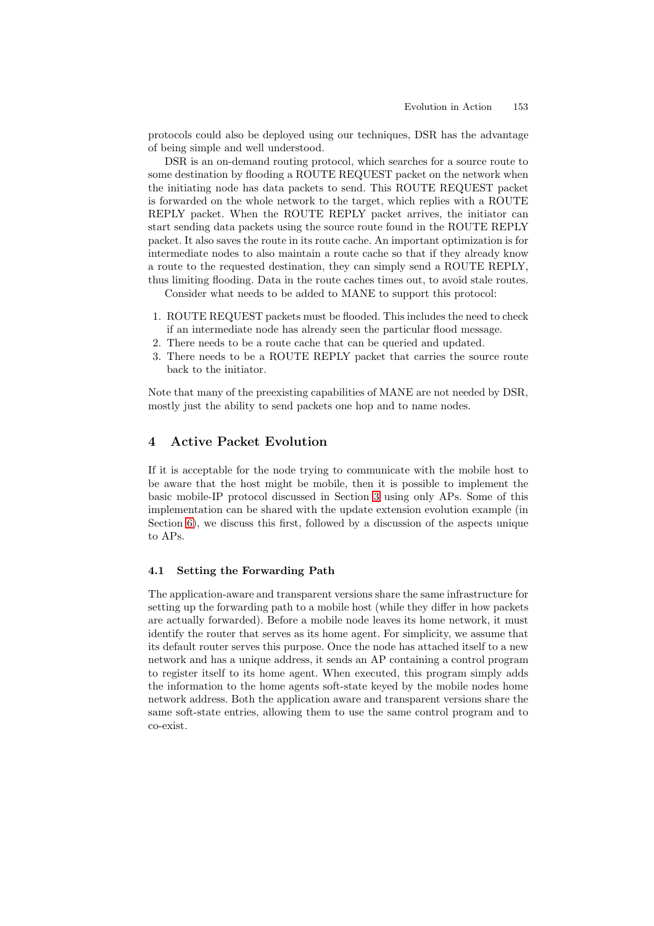protocols could also be deployed using our techniques, DSR has the advantage of being simple and well understood.

DSR is an on-demand routing protocol, which searches for a source route to some destination by flooding a ROUTE REQUEST packet on the network when the initiating node has data packets to send. This ROUTE REQUEST packet is forwarded on the whole network to the target, which replies with a ROUTE REPLY packet. When the ROUTE REPLY packet arrives, the initiator can start sending data packets using the source route found in the ROUTE REPLY packet. It also saves the route in its route cache. An important optimization is for intermediate nodes to also maintain a route cache so that if they already know a route to the requested destination, they can simply send a ROUTE REPLY, thus limiting flooding. Data in the route caches times out, to avoid stale routes.

Consider what needs to be added to MANE to support this protocol:

- 1. ROUTE REQUEST packets must be flooded. This includes the need to check if an intermediate node has already seen the particular flood message.
- 2. There needs to be a route cache that can be queried and updated.
- 3. There needs to be a ROUTE REPLY packet that carries the source route back to the initiator.

Note that many of the preexisting capabilities of MANE are not needed by DSR, mostly just the ability to send packets one hop and to name nodes.

## <span id="page-7-0"></span>**4 Active Packet Evolution**

If it is acceptable for the node trying to communicate with the mobile host to be aware that the host might be mobile, then it is possible to implement the basic mobile-IP protocol discussed in Section [3](#page-4-0) using only APs. Some of this implementation can be shared with the update extension evolution example (in Section [6\)](#page-10-0), we discuss this first, followed by a discussion of the aspects unique to APs.

### <span id="page-7-1"></span>**4.1 Setting the Forwarding Path**

The application-aware and transparent versions share the same infrastructure for setting up the forwarding path to a mobile host (while they differ in how packets are actually forwarded). Before a mobile node leaves its home network, it must identify the router that serves as its home agent. For simplicity, we assume that its default router serves this purpose. Once the node has attached itself to a new network and has a unique address, it sends an AP containing a control program to register itself to its home agent. When executed, this program simply adds the information to the home agents soft-state keyed by the mobile nodes home network address. Both the application aware and transparent versions share the same soft-state entries, allowing them to use the same control program and to co-exist.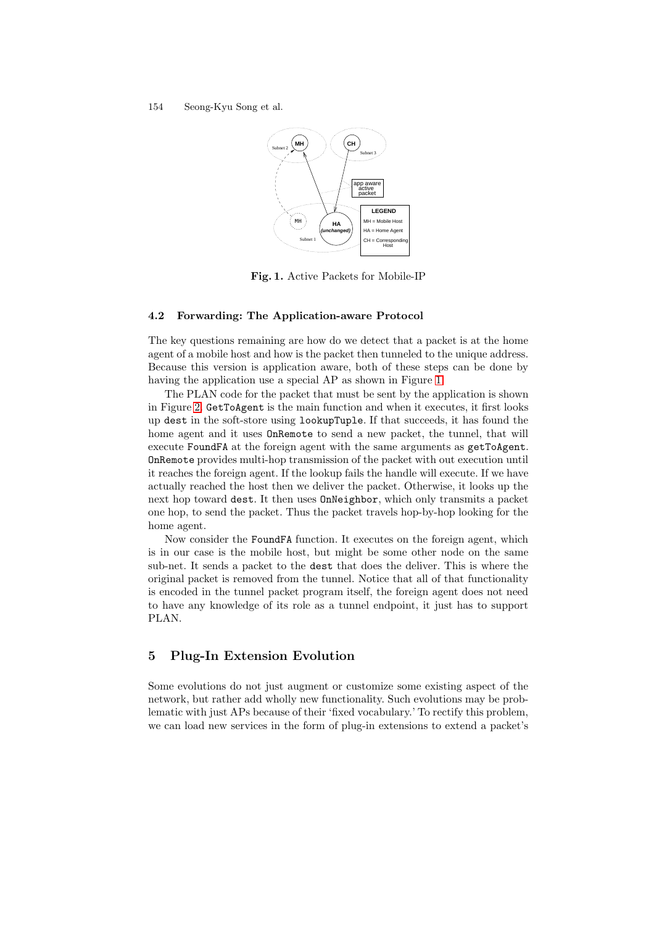

<span id="page-8-1"></span>**Fig. 1.** Active Packets for Mobile-IP

#### **4.2 Forwarding: The Application-aware Protocol**

The key questions remaining are how do we detect that a packet is at the home agent of a mobile host and how is the packet then tunneled to the unique address. Because this version is application aware, both of these steps can be done by having the application use a special AP as shown in Figure [1.](#page-8-1)

The PLAN code for the packet that must be sent by the application is shown in Figure [2.](#page-9-0) GetToAgent is the main function and when it executes, it first looks up dest in the soft-store using lookupTuple. If that succeeds, it has found the home agent and it uses OnRemote to send a new packet, the tunnel, that will execute FoundFA at the foreign agent with the same arguments as getToAgent. OnRemote provides multi-hop transmission of the packet with out execution until it reaches the foreign agent. If the lookup fails the handle will execute. If we have actually reached the host then we deliver the packet. Otherwise, it looks up the next hop toward dest. It then uses OnNeighbor, which only transmits a packet one hop, to send the packet. Thus the packet travels hop-by-hop looking for the home agent.

Now consider the FoundFA function. It executes on the foreign agent, which is in our case is the mobile host, but might be some other node on the same sub-net. It sends a packet to the dest that does the deliver. This is where the original packet is removed from the tunnel. Notice that all of that functionality is encoded in the tunnel packet program itself, the foreign agent does not need to have any knowledge of its role as a tunnel endpoint, it just has to support PLAN.

## <span id="page-8-0"></span>**5 Plug-In Extension Evolution**

Some evolutions do not just augment or customize some existing aspect of the network, but rather add wholly new functionality. Such evolutions may be problematic with just APs because of their 'fixed vocabulary.' To rectify this problem, we can load new services in the form of plug-in extensions to extend a packet's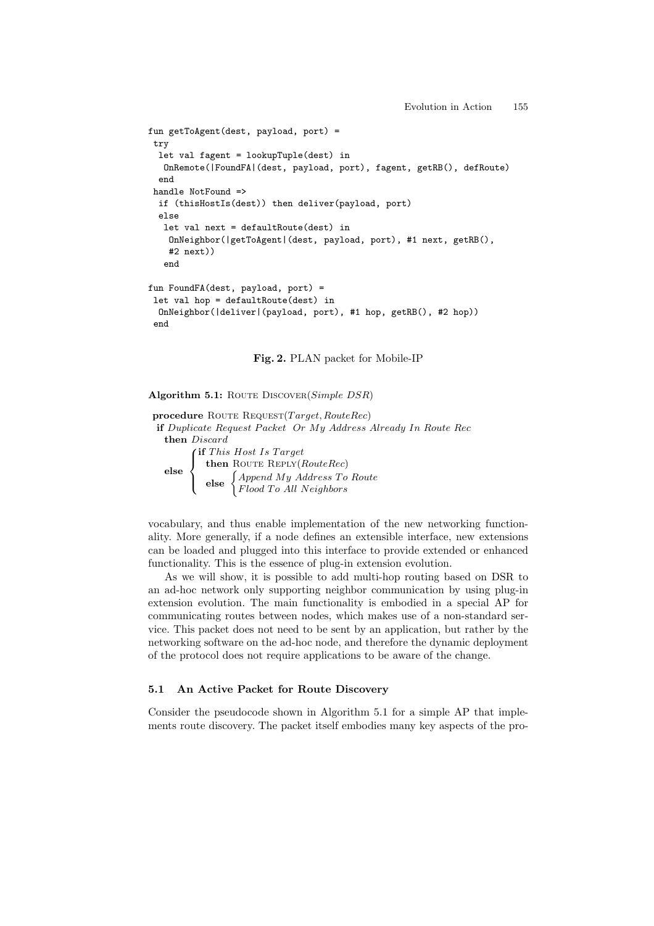```
fun getToAgent(dest, payload, port) =
try
 let val fagent = lookupTuple(dest) in
  OnRemote(|FoundFA|(dest, payload, port), fagent, getRB(), defRoute)
 end
handle NotFound =>
 if (thisHostIs(dest)) then deliver(payload, port)
 else
  let val next = defaultRoute(dest) in
   OnNeighbor(|getToAgent|(dest, payload, port), #1 next, getRB(),
   #2 next))
  end
fun FoundFA(dest, payload, port) =
let val hop = defaultRoute(dest) in
 OnNeighbor(|deliver|(payload, port), #1 hop, getRB(), #2 hop))
end
```
<span id="page-9-0"></span>**Fig. 2.** PLAN packet for Mobile-IP

**Algorithm 5.1:** Route Discover(*Simple DSR*)

**procedure** Route Request(*T arget, RouteRec*) **if** *Duplicate Request Packet Or My Address Already In Route Rec* **then** *Discard* **else**  $\sqrt{ }$  $\int$  $\mathfrak{t}$ **if** *T his Host Is T arget* **then** Route Reply(*RouteRec*) **else**  $\begin{cases}$  *Append My Address To Route F lood T o All Neighbors*

vocabulary, and thus enable implementation of the new networking functionality. More generally, if a node defines an extensible interface, new extensions can be loaded and plugged into this interface to provide extended or enhanced functionality. This is the essence of plug-in extension evolution.

As we will show, it is possible to add multi-hop routing based on DSR to an ad-hoc network only supporting neighbor communication by using plug-in extension evolution. The main functionality is embodied in a special AP for communicating routes between nodes, which makes use of a non-standard service. This packet does not need to be sent by an application, but rather by the networking software on the ad-hoc node, and therefore the dynamic deployment of the protocol does not require applications to be aware of the change.

#### **5.1 An Active Packet for Route Discovery**

Consider the pseudocode shown in Algorithm 5.1 for a simple AP that implements route discovery. The packet itself embodies many key aspects of the pro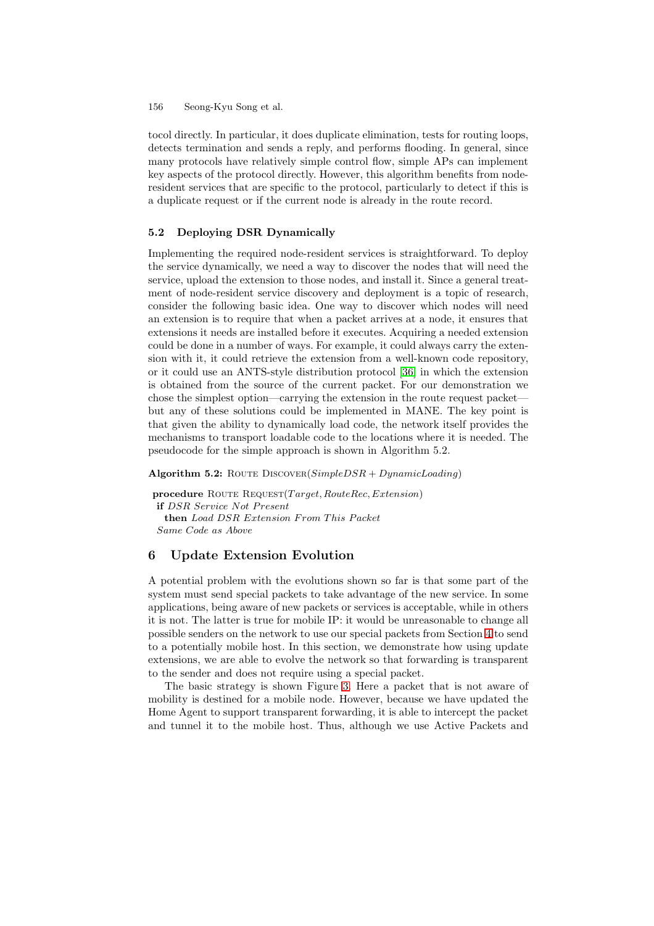tocol directly. In particular, it does duplicate elimination, tests for routing loops, detects termination and sends a reply, and performs flooding. In general, since many protocols have relatively simple control flow, simple APs can implement key aspects of the protocol directly. However, this algorithm benefits from noderesident services that are specific to the protocol, particularly to detect if this is a duplicate request or if the current node is already in the route record.

## **5.2 Deploying DSR Dynamically**

Implementing the required node-resident services is straightforward. To deploy the service dynamically, we need a way to discover the nodes that will need the service, upload the extension to those nodes, and install it. Since a general treatment of node-resident service discovery and deployment is a topic of research, consider the following basic idea. One way to discover which nodes will need an extension is to require that when a packet arrives at a node, it ensures that extensions it needs are installed before it executes. Acquiring a needed extension could be done in a number of ways. For example, it could always carry the extension with it, it could retrieve the extension from a well-known code repository, or it could use an ANTS-style distribution protocol [\[36\]](#page-15-7) in which the extension is obtained from the source of the current packet. For our demonstration we chose the simplest option—carrying the extension in the route request packet but any of these solutions could be implemented in MANE. The key point is that given the ability to dynamically load code, the network itself provides the mechanisms to transport loadable code to the locations where it is needed. The pseudocode for the simple approach is shown in Algorithm 5.2.

**Algorithm 5.2:** Route Discover(*SimpleDSR* + *DynamicLoading*)

**procedure** Route Request(*T arget, RouteRec, Extension*) **if** *DSR* Service Not Present **then** *Load DSR Extension From This Packet Same Code as Above*

# <span id="page-10-0"></span>**6 Update Extension Evolution**

A potential problem with the evolutions shown so far is that some part of the system must send special packets to take advantage of the new service. In some applications, being aware of new packets or services is acceptable, while in others it is not. The latter is true for mobile IP: it would be unreasonable to change all possible senders on the network to use our special packets from Section [4](#page-7-0) to send to a potentially mobile host. In this section, we demonstrate how using update extensions, we are able to evolve the network so that forwarding is transparent to the sender and does not require using a special packet.

The basic strategy is shown Figure [3.](#page-11-0) Here a packet that is not aware of mobility is destined for a mobile node. However, because we have updated the Home Agent to support transparent forwarding, it is able to intercept the packet and tunnel it to the mobile host. Thus, although we use Active Packets and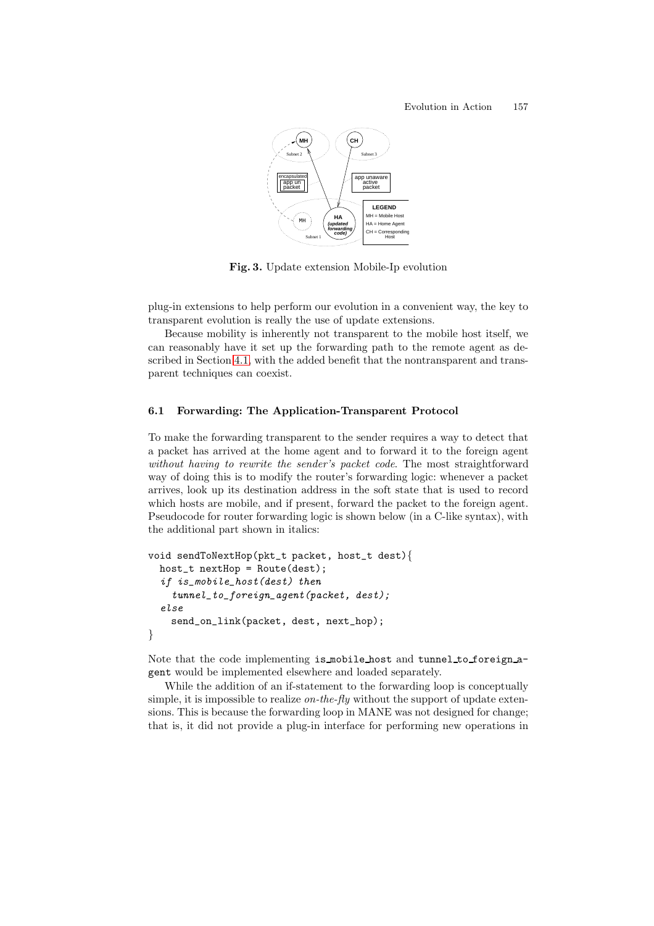

<span id="page-11-0"></span>**Fig. 3.** Update extension Mobile-Ip evolution

plug-in extensions to help perform our evolution in a convenient way, the key to transparent evolution is really the use of update extensions.

Because mobility is inherently not transparent to the mobile host itself, we can reasonably have it set up the forwarding path to the remote agent as described in Section [4.1,](#page-7-1) with the added benefit that the nontransparent and transparent techniques can coexist.

### **6.1 Forwarding: The Application-Transparent Protocol**

To make the forwarding transparent to the sender requires a way to detect that a packet has arrived at the home agent and to forward it to the foreign agent *without having to rewrite the sender's packet code*. The most straightforward way of doing this is to modify the router's forwarding logic: whenever a packet arrives, look up its destination address in the soft state that is used to record which hosts are mobile, and if present, forward the packet to the foreign agent. Pseudocode for router forwarding logic is shown below (in a C-like syntax), with the additional part shown in italics:

```
void sendToNextHop(pkt_t packet, host_t dest){
 host_t nextHop = Route(dest);
  if is_mobile_host(dest) then
    tunnel_to_foreign_agent(packet, dest);
  else
   send_on_link(packet, dest, next_hop);
}
```
Note that the code implementing is mobile host and tunnel to foreign agent would be implemented elsewhere and loaded separately.

While the addition of an if-statement to the forwarding loop is conceptually simple, it is impossible to realize *on-the-fly* without the support of update extensions. This is because the forwarding loop in MANE was not designed for change; that is, it did not provide a plug-in interface for performing new operations in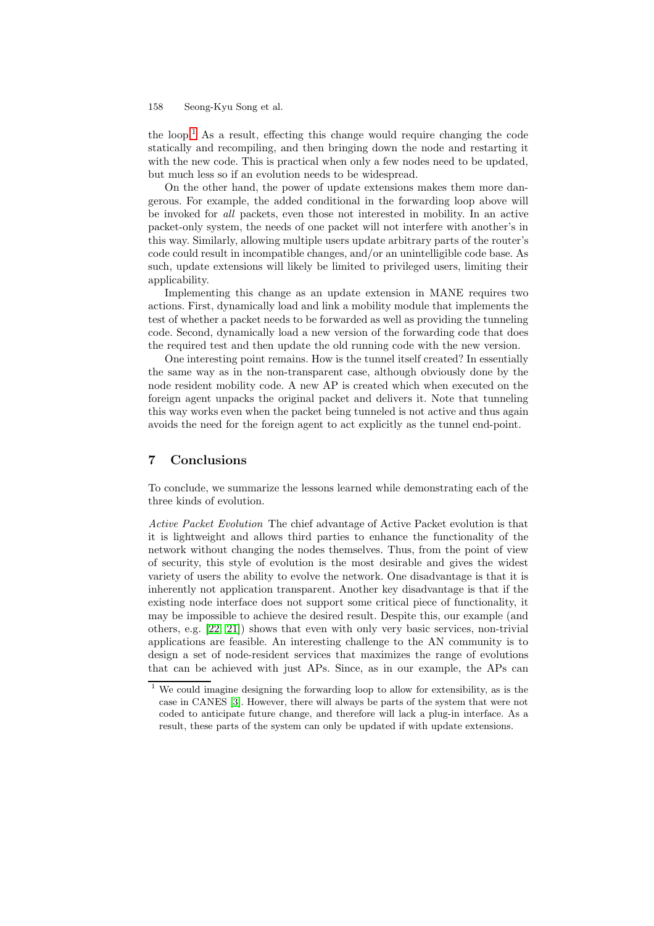the loop.<sup>[1](#page-12-1)</sup> As a result, effecting this change would require changing the code statically and recompiling, and then bringing down the node and restarting it with the new code. This is practical when only a few nodes need to be updated, but much less so if an evolution needs to be widespread.

On the other hand, the power of update extensions makes them more dangerous. For example, the added conditional in the forwarding loop above will be invoked for *all* packets, even those not interested in mobility. In an active packet-only system, the needs of one packet will not interfere with another's in this way. Similarly, allowing multiple users update arbitrary parts of the router's code could result in incompatible changes, and/or an unintelligible code base. As such, update extensions will likely be limited to privileged users, limiting their applicability.

Implementing this change as an update extension in MANE requires two actions. First, dynamically load and link a mobility module that implements the test of whether a packet needs to be forwarded as well as providing the tunneling code. Second, dynamically load a new version of the forwarding code that does the required test and then update the old running code with the new version.

One interesting point remains. How is the tunnel itself created? In essentially the same way as in the non-transparent case, although obviously done by the node resident mobility code. A new AP is created which when executed on the foreign agent unpacks the original packet and delivers it. Note that tunneling this way works even when the packet being tunneled is not active and thus again avoids the need for the foreign agent to act explicitly as the tunnel end-point.

# <span id="page-12-0"></span>**7 Conclusions**

To conclude, we summarize the lessons learned while demonstrating each of the three kinds of evolution.

*Active Packet Evolution* The chief advantage of Active Packet evolution is that it is lightweight and allows third parties to enhance the functionality of the network without changing the nodes themselves. Thus, from the point of view of security, this style of evolution is the most desirable and gives the widest variety of users the ability to evolve the network. One disadvantage is that it is inherently not application transparent. Another key disadvantage is that if the existing node interface does not support some critical piece of functionality, it may be impossible to achieve the desired result. Despite this, our example (and others, e.g.  $[22, 21]$  $[22, 21]$ ) shows that even with only very basic services, non-trivial applications are feasible. An interesting challenge to the AN community is to design a set of node-resident services that maximizes the range of evolutions that can be achieved with just APs. Since, as in our example, the APs can

<span id="page-12-1"></span><sup>1</sup> We could imagine designing the forwarding loop to allow for extensibility, as is the case in CANES [\[3\]](#page-14-5). However, there will always be parts of the system that were not coded to anticipate future change, and therefore will lack a plug-in interface. As a result, these parts of the system can only be updated if with update extensions.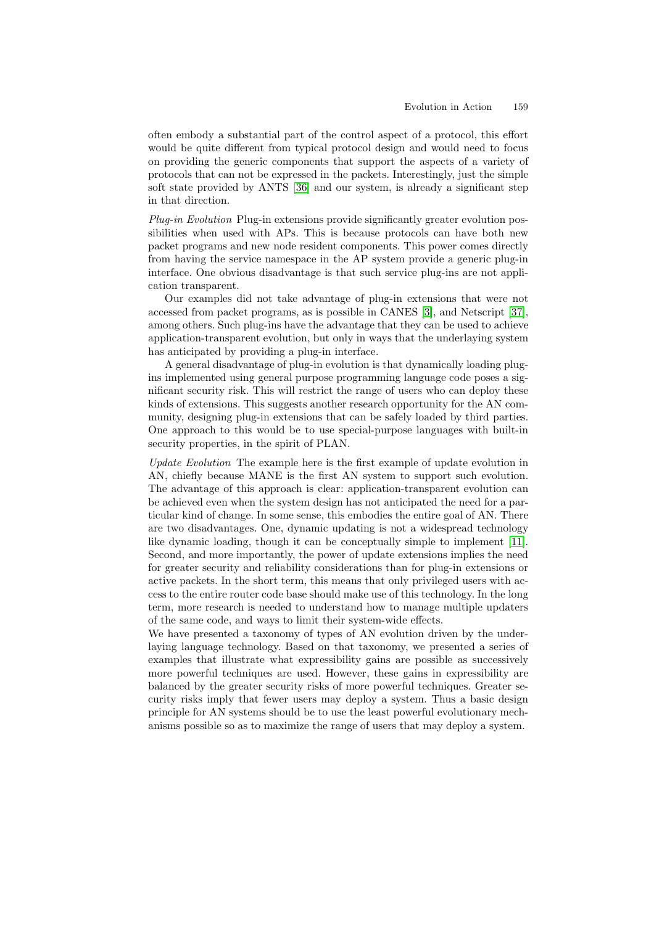often embody a substantial part of the control aspect of a protocol, this effort would be quite different from typical protocol design and would need to focus on providing the generic components that support the aspects of a variety of protocols that can not be expressed in the packets. Interestingly, just the simple soft state provided by ANTS [\[36\]](#page-15-7) and our system, is already a significant step in that direction.

*Plug-in Evolution* Plug-in extensions provide significantly greater evolution possibilities when used with APs. This is because protocols can have both new packet programs and new node resident components. This power comes directly from having the service namespace in the AP system provide a generic plug-in interface. One obvious disadvantage is that such service plug-ins are not application transparent.

Our examples did not take advantage of plug-in extensions that were not accessed from packet programs, as is possible in CANES [\[3\]](#page-14-5), and Netscript [\[37\]](#page-15-11), among others. Such plug-ins have the advantage that they can be used to achieve application-transparent evolution, but only in ways that the underlaying system has anticipated by providing a plug-in interface.

A general disadvantage of plug-in evolution is that dynamically loading plugins implemented using general purpose programming language code poses a significant security risk. This will restrict the range of users who can deploy these kinds of extensions. This suggests another research opportunity for the AN community, designing plug-in extensions that can be safely loaded by third parties. One approach to this would be to use special-purpose languages with built-in security properties, in the spirit of PLAN.

*Update Evolution* The example here is the first example of update evolution in AN, chiefly because MANE is the first AN system to support such evolution. The advantage of this approach is clear: application-transparent evolution can be achieved even when the system design has not anticipated the need for a particular kind of change. In some sense, this embodies the entire goal of AN. There are two disadvantages. One, dynamic updating is not a widespread technology like dynamic loading, though it can be conceptually simple to implement [\[11\]](#page-14-13). Second, and more importantly, the power of update extensions implies the need for greater security and reliability considerations than for plug-in extensions or active packets. In the short term, this means that only privileged users with access to the entire router code base should make use of this technology. In the long term, more research is needed to understand how to manage multiple updaters of the same code, and ways to limit their system-wide effects.

We have presented a taxonomy of types of AN evolution driven by the underlaying language technology. Based on that taxonomy, we presented a series of examples that illustrate what expressibility gains are possible as successively more powerful techniques are used. However, these gains in expressibility are balanced by the greater security risks of more powerful techniques. Greater security risks imply that fewer users may deploy a system. Thus a basic design principle for AN systems should be to use the least powerful evolutionary mechanisms possible so as to maximize the range of users that may deploy a system.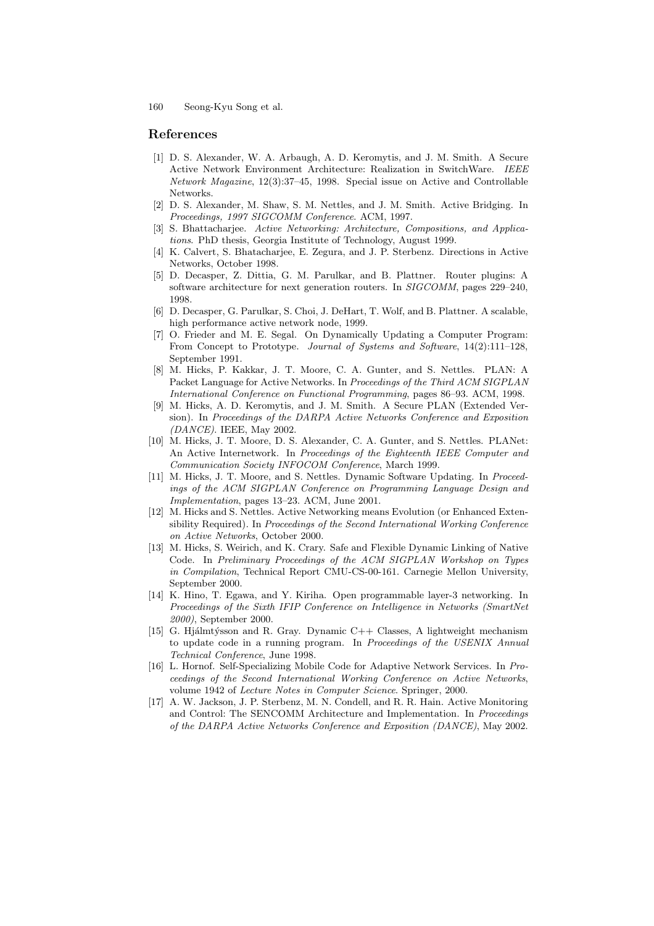## <span id="page-14-9"></span>**References**

- [1] D. S. Alexander, W. A. Arb augh, A. D. Keromytis, and J. M. Smith. A Secure Active Network Environment Architecture: Realization in SwitchWare. *IEEE Network Magazine*, 12(3):37–45, 1998. Special issue on Active and Controllable Networks.
- <span id="page-14-2"></span>[2] D. S. Alexander, M. Shaw, S. M. Nettles, and J. M. Smith. Active Bridging. In *Proceedings, 1997 SIGCOMM Conference*. ACM, 1997.
- <span id="page-14-5"></span>[3] S. Bhattacharjee. *Active Networking: Architecture, Compositions, and Applications*. PhD thesis, Georgia Institute of Technology, August 1999.
- <span id="page-14-0"></span>[4] K. Calvert, S. Bhatacharjee, E. Zegura, and J. P. Sterbenz. Directions in Active Networks, October 1998.
- <span id="page-14-6"></span>[5] D. Decasper, Z. Dittia, G. M. Parulkar, and B. Plattner. Router plugins: A software architecture for next generation routers. In *SIGCOMM*, pages 229–240, 1998.
- <span id="page-14-7"></span>[6] D. Decasper, G. Parulkar, S. Choi, J. DeHart, T. Wolf, and B. Plattner. A scalable, high performance active network node, 1999.
- <span id="page-14-11"></span>[7] O. Frieder and M. E. Segal. On Dynamically Updating a Computer Program: From Concept to Prototype. *Journal of Systems and Software*, 14(2):111–128, September 1991.
- <span id="page-14-3"></span>[8] M. Hicks, P. Kakkar, J. T. Moore, C. A. Gunter, and S. Nettles. PLAN: A Packet Language for Active Networks. In *Proceedings of the Third ACM SIGPLAN International Conference on Functional Programming*, pages 86–93. ACM, 1998.
- <span id="page-14-16"></span>[9] M. Hicks, A. D. Keromytis, and J. M. Smith. A Secure PLAN (Extended Version). In *Proceedings of the DARPA Active Networks Conference and Exposition (DANCE)*. IEEE, May 2002.
- <span id="page-14-1"></span>[10] M. Hicks, J. T. Moore, D. S. Alexander, C. A. Gunter, and S. Nettles. PLANet: An Active Internetwork. In *Proceedings of the Eighteenth IEEE Computer and Communication Society INFOCOM Conference*, March 1999.
- <span id="page-14-13"></span>[11] M. Hicks, J. T. Moore, and S. Nettles. Dynamic Software Updating. In *Proceedings of the ACM SIGPLAN Conference on Programming Language Design and Implementation*, pages 13–23. ACM, June 2001.
- <span id="page-14-8"></span>[12] M. Hicks and S. Nettles. Active Networking means Evolution (or Enhanced Extensibility Required). In *Proceedings of the Second International Working Conference on Active Networks*, October 2000.
- <span id="page-14-15"></span>[13] M. Hicks, S. Weirich, and K. Crary. Safe and Flexible Dynamic Linking of Native Code. In *Preliminary Proceedings of the ACM SIGPLAN Workshop on Types in Compilation*, Technical Report CMU-CS-00-161. Carnegie Mellon University, September 2000.
- <span id="page-14-4"></span>[14] K. Hino, T. Egawa, and Y. Kiriha. Open programmable layer-3 networking. In *Proceedings of the Sixth IFIP Conference on Intelligence in Networks (SmartNet 2000)*, September 2000.
- <span id="page-14-12"></span>[15] G. Hjálmtýsson and R. Gray. Dynamic C++ Classes, A lightweight mechanism to update code in a running program. In *Proceedings of the USENIX Annual Technical Conference*, June 1998.
- <span id="page-14-14"></span>[16] L. Hornof. Self-Specializing Mobile Code for Adaptive Network Services. In *Proceedings of the Second International Working Conference on Active Networks*, volume 1942 of *Lecture Notes in Computer Science*. Springer, 2000.
- <span id="page-14-10"></span>[17] A. W. Jackson, J. P. Sterbenz, M. N. Condell, and R. R. Hain. Active Monitoring and Control: The SENCOMM Architecture and Implementation. In *Proceedings of the DARPA Active Networks Conference and Exposition (DANCE)*, May 2002.